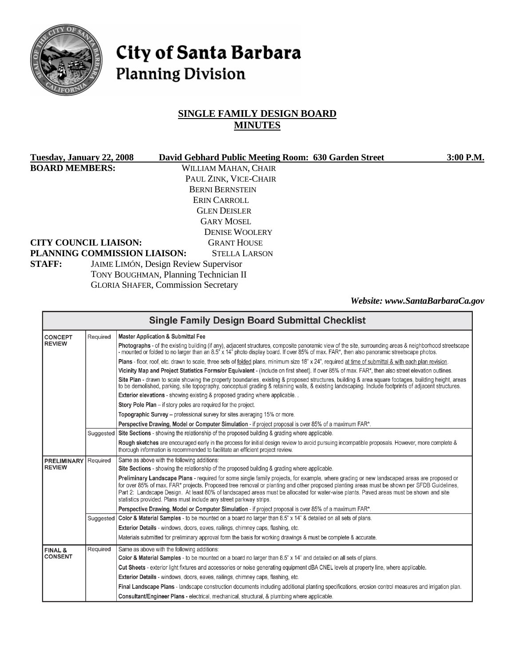

# City of Santa Barbara **Planning Division**

# **SINGLE FAMILY DESIGN BOARD MINUTES**

| Tuesday, January 22, 2008    |                                              | David Gebhard Public Meeting Room: 630 Garden Street | 3:00 P.M.                       |
|------------------------------|----------------------------------------------|------------------------------------------------------|---------------------------------|
| <b>BOARD MEMBERS:</b>        |                                              | WILLIAM MAHAN, CHAIR                                 |                                 |
|                              |                                              | PAUL ZINK, VICE-CHAIR                                |                                 |
|                              |                                              | <b>BERNI BERNSTEIN</b>                               |                                 |
|                              |                                              | ERIN CARROLL                                         |                                 |
|                              |                                              | <b>GLEN DEISLER</b>                                  |                                 |
|                              |                                              | <b>GARY MOSEL</b>                                    |                                 |
|                              |                                              | <b>DENISE WOOLERY</b>                                |                                 |
| <b>CITY COUNCIL LIAISON:</b> |                                              | <b>GRANT HOUSE</b>                                   |                                 |
| PLANNING COMMISSION LIAISON: |                                              | <b>STELLA LARSON</b>                                 |                                 |
| <b>STAFF:</b>                | <b>JAIME LIMÓN, Design Review Supervisor</b> |                                                      |                                 |
|                              | TONY BOUGHMAN, Planning Technician II        |                                                      |                                 |
|                              | <b>GLORIA SHAFER, Commission Secretary</b>   |                                                      |                                 |
|                              |                                              |                                                      | Website: www.SantaBarbaraCa.gov |

|                    |           | <b>Single Family Design Board Submittal Checklist</b>                                                                                                                                                                                                                                                                                                                                                                                                                                                    |  |  |
|--------------------|-----------|----------------------------------------------------------------------------------------------------------------------------------------------------------------------------------------------------------------------------------------------------------------------------------------------------------------------------------------------------------------------------------------------------------------------------------------------------------------------------------------------------------|--|--|
| <b>CONCEPT</b>     | Required  | <b>Master Application &amp; Submittal Fee</b>                                                                                                                                                                                                                                                                                                                                                                                                                                                            |  |  |
| <b>REVIEW</b>      |           | Photographs - of the existing building (if any), adjacent structures, composite panoramic view of the site, surrounding areas & neighborhood streetscape<br>- mounted or folded to no larger than an 8.5" x 14" photo display board. If over 85% of max. FAR*, then also panoramic streetscape photos.                                                                                                                                                                                                   |  |  |
|                    |           | Plans - floor, roof, etc. drawn to scale, three sets of folded plans, minimum size 18" x 24", required at time of submittal & with each plan revision.                                                                                                                                                                                                                                                                                                                                                   |  |  |
|                    |           | Vicinity Map and Project Statistics Forms/or Equivalent - (Include on first sheet). If over 85% of max. FAR*, then also street elevation outlines.                                                                                                                                                                                                                                                                                                                                                       |  |  |
|                    |           | Site Plan - drawn to scale showing the property boundaries, existing & proposed structures, building & area square footages, building height, areas<br>to be demolished, parking, site topography, conceptual grading & retaining walls, & existing landscaping. Include footprints of adjacent structures.                                                                                                                                                                                              |  |  |
|                    |           | <b>Exterior elevations</b> - showing existing & proposed grading where applicable                                                                                                                                                                                                                                                                                                                                                                                                                        |  |  |
|                    |           | Story Pole Plan – if story poles are required for the project.                                                                                                                                                                                                                                                                                                                                                                                                                                           |  |  |
|                    |           | Topographic Survey – professional survey for sites averaging 15% or more.                                                                                                                                                                                                                                                                                                                                                                                                                                |  |  |
|                    |           | Perspective Drawing, Model or Computer Simulation - if project proposal is over 85% of a maximum FAR*.                                                                                                                                                                                                                                                                                                                                                                                                   |  |  |
|                    | Suggested | Site Sections - showing the relationship of the proposed building & grading where applicable.                                                                                                                                                                                                                                                                                                                                                                                                            |  |  |
|                    |           | Rough sketches are encouraged early in the process for initial design review to avoid pursuing incompatible proposals. However, more complete &<br>thorough information is recommended to facilitate an efficient project review.                                                                                                                                                                                                                                                                        |  |  |
| <b>PRELIMINARY</b> | Required  | Same as above with the following additions:                                                                                                                                                                                                                                                                                                                                                                                                                                                              |  |  |
| <b>REVIEW</b>      |           | Site Sections - showing the relationship of the proposed building & grading where applicable.                                                                                                                                                                                                                                                                                                                                                                                                            |  |  |
|                    |           | Preliminary Landscape Plans - required for some single family projects, for example, where grading or new landscaped areas are proposed or<br>for over 85% of max. FAR* projects. Proposed tree removal or planting and other proposed planting areas must be shown per SFDB Guidelines,<br>Part 2: Landscape Design. At least 80% of landscaped areas must be allocated for water-wise plants. Paved areas must be shown and site<br>statistics provided. Plans must include any street parkway strips. |  |  |
|                    |           | Perspective Drawing, Model or Computer Simulation - if project proposal is over 85% of a maximum FAR*.                                                                                                                                                                                                                                                                                                                                                                                                   |  |  |
|                    | Suggested | Color & Material Samples - to be mounted on a board no larger than 8.5" x 14" & detailed on all sets of plans.                                                                                                                                                                                                                                                                                                                                                                                           |  |  |
|                    |           | Exterior Details - windows, doors, eaves, railings, chimney caps, flashing, etc.                                                                                                                                                                                                                                                                                                                                                                                                                         |  |  |
|                    |           | Materials submitted for preliminary approval form the basis for working drawings & must be complete & accurate.                                                                                                                                                                                                                                                                                                                                                                                          |  |  |
| <b>FINAL &amp;</b> | Required  | Same as above with the following additions:                                                                                                                                                                                                                                                                                                                                                                                                                                                              |  |  |
| <b>CONSENT</b>     |           | Color & Material Samples - to be mounted on a board no larger than 8.5" x 14" and detailed on all sets of plans.                                                                                                                                                                                                                                                                                                                                                                                         |  |  |
|                    |           | Cut Sheets - exterior light fixtures and accessories or noise generating equipment dBA CNEL levels at property line, where applicable.                                                                                                                                                                                                                                                                                                                                                                   |  |  |
|                    |           | Exterior Details - windows, doors, eaves, railings, chimney caps, flashing, etc.                                                                                                                                                                                                                                                                                                                                                                                                                         |  |  |
|                    |           | Final Landscape Plans - landscape construction documents including additional planting specifications, erosion control measures and irrigation plan.                                                                                                                                                                                                                                                                                                                                                     |  |  |
|                    |           | Consultant/Engineer Plans - electrical, mechanical, structural, & plumbing where applicable.                                                                                                                                                                                                                                                                                                                                                                                                             |  |  |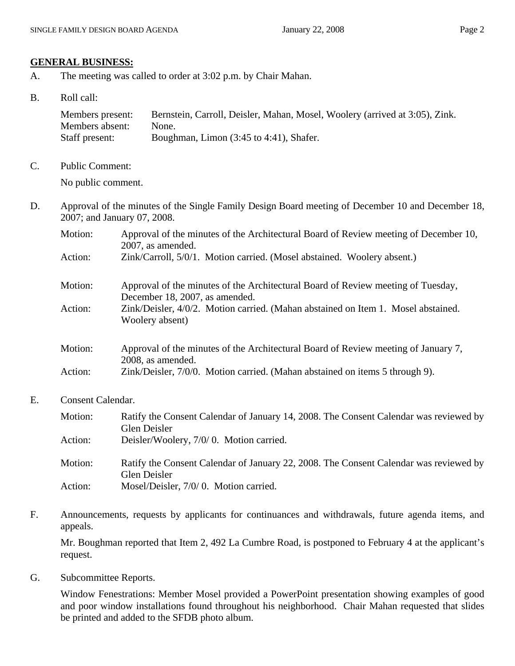#### **GENERAL BUSINESS:**

- A. The meeting was called to order at 3:02 p.m. by Chair Mahan.
- B. Roll call:

| Members present: | Bernstein, Carroll, Deisler, Mahan, Mosel, Woolery (arrived at 3:05), Zink. |
|------------------|-----------------------------------------------------------------------------|
| Members absent:  | None.                                                                       |
| Staff present:   | Boughman, Limon (3:45 to 4:41), Shafer.                                     |

C. Public Comment:

No public comment.

- D. Approval of the minutes of the Single Family Design Board meeting of December 10 and December 18, 2007; and January 07, 2008.
	- Motion: Approval of the minutes of the Architectural Board of Review meeting of December 10, 2007, as amended.

| Action: | Zink/Carroll, 5/0/1. Motion carried. (Mosel abstained. Woolery absent.) |  |  |  |
|---------|-------------------------------------------------------------------------|--|--|--|
|---------|-------------------------------------------------------------------------|--|--|--|

- Motion: Approval of the minutes of the Architectural Board of Review meeting of Tuesday, December 18, 2007, as amended. Action: Zink/Deisler, 4/0/2. Motion carried. (Mahan abstained on Item 1. Mosel abstained.
- Woolery absent)
- Motion: Approval of the minutes of the Architectural Board of Review meeting of January 7, 2008, as amended. Action: Zink/Deisler, 7/0/0. Motion carried. (Mahan abstained on items 5 through 9).
- E. Consent Calendar.

| Motion: | Ratify the Consent Calendar of January 14, 2008. The Consent Calendar was reviewed by<br>Glen Deisler |
|---------|-------------------------------------------------------------------------------------------------------|
| Action: | Deisler/Woolery, 7/0/0. Motion carried.                                                               |
| Motion: | Ratify the Consent Calendar of January 22, 2008. The Consent Calendar was reviewed by<br>Glen Deisler |
| Action: | Mosel/Deisler, 7/0/0. Motion carried.                                                                 |

F. Announcements, requests by applicants for continuances and withdrawals, future agenda items, and appeals.

Mr. Boughman reported that Item 2, 492 La Cumbre Road, is postponed to February 4 at the applicant's request.

G. Subcommittee Reports.

Window Fenestrations: Member Mosel provided a PowerPoint presentation showing examples of good and poor window installations found throughout his neighborhood. Chair Mahan requested that slides be printed and added to the SFDB photo album.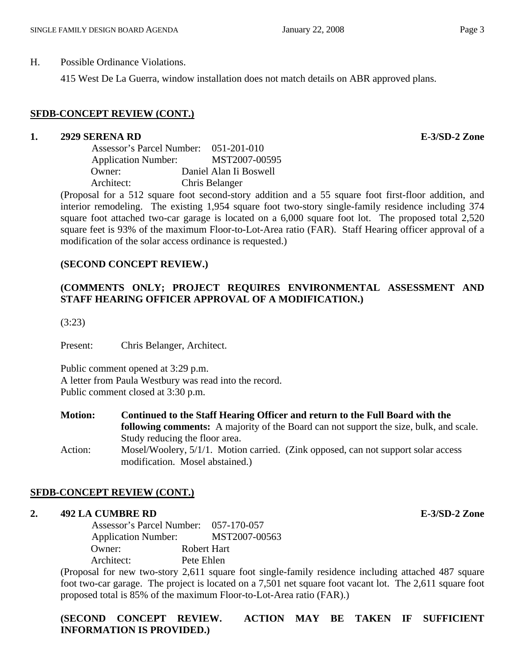H. Possible Ordinance Violations.

415 West De La Guerra, window installation does not match details on ABR approved plans.

# **SFDB-CONCEPT REVIEW (CONT.)**

### **1. 2929 SERENA RD E-3/SD-2 Zone**

 Assessor's Parcel Number: 051-201-010 Application Number: MST2007-00595 Owner: Daniel Alan Ii Boswell Architect: Chris Belanger

(Proposal for a 512 square foot second-story addition and a 55 square foot first-floor addition, and interior remodeling. The existing 1,954 square foot two-story single-family residence including 374 square foot attached two-car garage is located on a 6,000 square foot lot. The proposed total 2,520 square feet is 93% of the maximum Floor-to-Lot-Area ratio (FAR). Staff Hearing officer approval of a modification of the solar access ordinance is requested.)

## **(SECOND CONCEPT REVIEW.)**

# **(COMMENTS ONLY; PROJECT REQUIRES ENVIRONMENTAL ASSESSMENT AND STAFF HEARING OFFICER APPROVAL OF A MODIFICATION.)**

(3:23)

Present: Chris Belanger, Architect.

Public comment opened at 3:29 p.m. A letter from Paula Westbury was read into the record. Public comment closed at 3:30 p.m.

**Motion: Continued to the Staff Hearing Officer and return to the Full Board with the following comments:** A majority of the Board can not support the size, bulk, and scale. Study reducing the floor area. Action: Mosel/Woolery, 5/1/1. Motion carried. (Zink opposed, can not support solar access

modification. Mosel abstained.)

## **SFDB-CONCEPT REVIEW (CONT.)**

### **2. 492 LA CUMBRE RD E-3/SD-2 Zone**

 Assessor's Parcel Number: 057-170-057 Application Number: MST2007-00563 Owner: Robert Hart Architect: Pete Ehlen

(Proposal for new two-story 2,611 square foot single-family residence including attached 487 square foot two-car garage. The project is located on a 7,501 net square foot vacant lot. The 2,611 square foot proposed total is 85% of the maximum Floor-to-Lot-Area ratio (FAR).)

**(SECOND CONCEPT REVIEW. ACTION MAY BE TAKEN IF SUFFICIENT INFORMATION IS PROVIDED.)**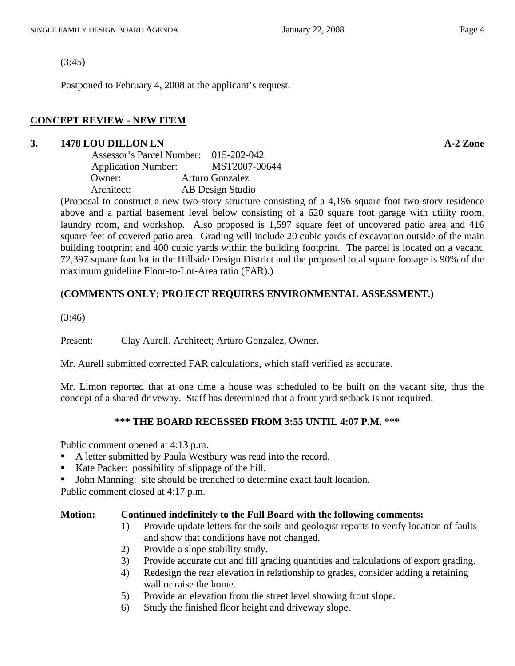(3:45)

Postponed to February 4, 2008 at the applicant's request.

#### **CONCEPT REVIEW - NEW ITEM**

### **3. 1478 LOU DILLON LN A-2 Zone**

| Assessor's Parcel Number:                                                                                                                                                                                                                                                               | 015-202-042      |
|-----------------------------------------------------------------------------------------------------------------------------------------------------------------------------------------------------------------------------------------------------------------------------------------|------------------|
| <b>Application Number:</b>                                                                                                                                                                                                                                                              | MST2007-00644    |
| Owner:                                                                                                                                                                                                                                                                                  | Arturo Gonzalez  |
| Architect:                                                                                                                                                                                                                                                                              | AB Design Studio |
| $\sqrt{D}$ and $\sqrt{D}$ and $\sqrt{D}$ and $\sqrt{D}$ and $\sqrt{D}$ and $\sqrt{D}$ and $\sqrt{D}$ and $\sqrt{D}$ and $\sqrt{D}$ and $\sqrt{D}$ and $\sqrt{D}$ and $\sqrt{D}$ and $\sqrt{D}$ and $\sqrt{D}$ and $\sqrt{D}$ and $\sqrt{D}$ and $\sqrt{D}$ and $\sqrt{D}$ and $\sqrt{D$ |                  |

(Proposal to construct a new two-story structure consisting of a 4,196 square foot two-story residence above and a partial basement level below consisting of a 620 square foot garage with utility room, laundry room, and workshop. Also proposed is 1,597 square feet of uncovered patio area and 416 square feet of covered patio area. Grading will include 20 cubic yards of excavation outside of the main building footprint and 400 cubic yards within the building footprint. The parcel is located on a vacant, 72,397 square foot lot in the Hillside Design District and the proposed total square footage is 90% of the maximum guideline Floor-to-Lot-Area ratio (FAR).)

#### **(COMMENTS ONLY; PROJECT REQUIRES ENVIRONMENTAL ASSESSMENT.)**

(3:46)

Present: Clay Aurell, Architect; Arturo Gonzalez, Owner.

Mr. Aurell submitted corrected FAR calculations, which staff verified as accurate.

Mr. Limon reported that at one time a house was scheduled to be built on the vacant site, thus the concept of a shared driveway. Staff has determined that a front yard setback is not required.

#### **\*\*\* THE BOARD RECESSED FROM 3:55 UNTIL 4:07 P.M. \*\*\***

Public comment opened at 4:13 p.m.

- A letter submitted by Paula Westbury was read into the record.
- Kate Packer: possibility of slippage of the hill.
- John Manning: site should be trenched to determine exact fault location.

Public comment closed at 4:17 p.m.

#### **Motion: Continued indefinitely to the Full Board with the following comments:**

- 1) Provide update letters for the soils and geologist reports to verify location of faults and show that conditions have not changed.
- 2) Provide a slope stability study.
- 3) Provide accurate cut and fill grading quantities and calculations of export grading.
- 4) Redesign the rear elevation in relationship to grades, consider adding a retaining wall or raise the home.
- 5) Provide an elevation from the street level showing front slope.
- 6) Study the finished floor height and driveway slope.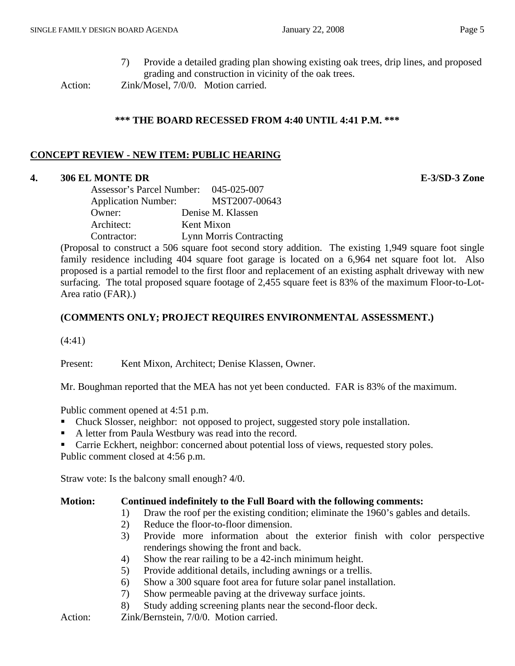7) Provide a detailed grading plan showing existing oak trees, drip lines, and proposed grading and construction in vicinity of the oak trees.

Action: Zink/Mosel, 7/0/0. Motion carried.

#### **\*\*\* THE BOARD RECESSED FROM 4:40 UNTIL 4:41 P.M. \*\*\***

### **CONCEPT REVIEW - NEW ITEM: PUBLIC HEARING**

#### **4. 306 EL MONTE DR E-3/SD-3 Zone**

| Assessor's Parcel Number:  | 045-025-007                    |
|----------------------------|--------------------------------|
| <b>Application Number:</b> | MST2007-00643                  |
| Owner:                     | Denise M. Klassen              |
| Architect:                 | Kent Mixon                     |
| Contractor:                | <b>Lynn Morris Contracting</b> |

(Proposal to construct a 506 square foot second story addition. The existing 1,949 square foot single family residence including 404 square foot garage is located on a 6,964 net square foot lot. Also proposed is a partial remodel to the first floor and replacement of an existing asphalt driveway with new surfacing. The total proposed square footage of 2,455 square feet is 83% of the maximum Floor-to-Lot-Area ratio (FAR).)

### **(COMMENTS ONLY; PROJECT REQUIRES ENVIRONMENTAL ASSESSMENT.)**

(4:41)

Present: Kent Mixon, Architect; Denise Klassen, Owner.

Mr. Boughman reported that the MEA has not yet been conducted. FAR is 83% of the maximum.

Public comment opened at 4:51 p.m.

- Chuck Slosser, neighbor: not opposed to project, suggested story pole installation.
- A letter from Paula Westbury was read into the record.
- **Carrie Eckhert, neighbor: concerned about potential loss of views, requested story poles.**

Public comment closed at 4:56 p.m.

Straw vote: Is the balcony small enough? 4/0.

### **Motion: Continued indefinitely to the Full Board with the following comments:**

- 1) Draw the roof per the existing condition; eliminate the 1960's gables and details.
- 2) Reduce the floor-to-floor dimension.
- 3) Provide more information about the exterior finish with color perspective renderings showing the front and back.
- 4) Show the rear railing to be a 42-inch minimum height.
- 5) Provide additional details, including awnings or a trellis.
- 6) Show a 300 square foot area for future solar panel installation.
- 7) Show permeable paving at the driveway surface joints.
- 8) Study adding screening plants near the second-floor deck.

Action: **Zink/Bernstein, 7/0/0.** Motion carried.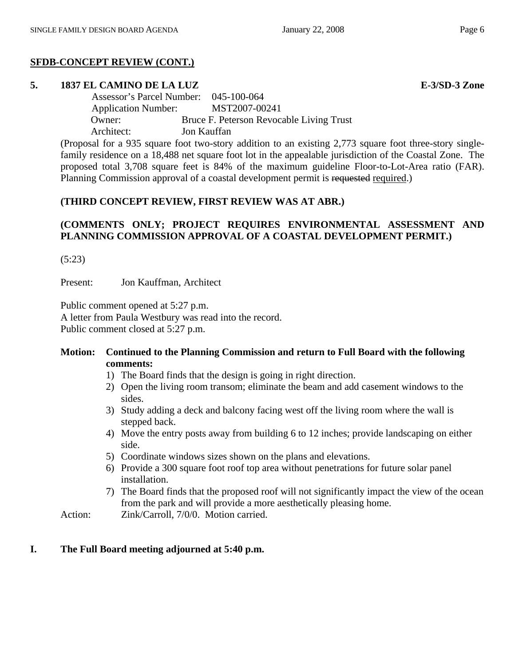# **SFDB-CONCEPT REVIEW (CONT.)**

# **5. 1837 EL CAMINO DE LA LUZ E-3/SD-3 Zone**

 Assessor's Parcel Number: 045-100-064 Application Number: MST2007-00241 Owner: Bruce F. Peterson Revocable Living Trust Architect: Jon Kauffan

(Proposal for a 935 square foot two-story addition to an existing 2,773 square foot three-story singlefamily residence on a 18,488 net square foot lot in the appealable jurisdiction of the Coastal Zone. The proposed total 3,708 square feet is 84% of the maximum guideline Floor-to-Lot-Area ratio (FAR). Planning Commission approval of a coastal development permit is requested required.)

# **(THIRD CONCEPT REVIEW, FIRST REVIEW WAS AT ABR.)**

# **(COMMENTS ONLY; PROJECT REQUIRES ENVIRONMENTAL ASSESSMENT AND PLANNING COMMISSION APPROVAL OF A COASTAL DEVELOPMENT PERMIT.)**

(5:23)

Present: Jon Kauffman, Architect

Public comment opened at 5:27 p.m.

A letter from Paula Westbury was read into the record. Public comment closed at 5:27 p.m.

### **Motion: Continued to the Planning Commission and return to Full Board with the following comments:**

- 1) The Board finds that the design is going in right direction.
- 2) Open the living room transom; eliminate the beam and add casement windows to the sides.
- 3) Study adding a deck and balcony facing west off the living room where the wall is stepped back.
- 4) Move the entry posts away from building 6 to 12 inches; provide landscaping on either side.
- 5) Coordinate windows sizes shown on the plans and elevations.
- 6) Provide a 300 square foot roof top area without penetrations for future solar panel installation.
- 7) The Board finds that the proposed roof will not significantly impact the view of the ocean from the park and will provide a more aesthetically pleasing home.

Action: Zink/Carroll, 7/0/0. Motion carried.

## **I. The Full Board meeting adjourned at 5:40 p.m.**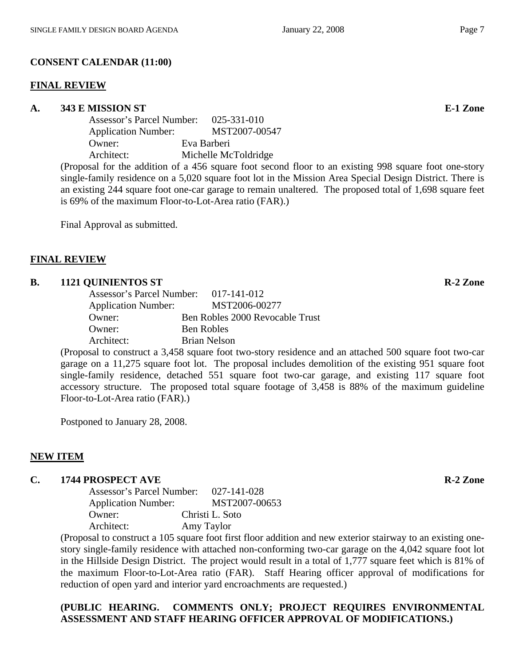# **CONSENT CALENDAR (11:00)**

## **FINAL REVIEW**

# A. 343 E MISSION ST **E-1** Zone

| Assessor's Parcel Number:                                                                                                                                                                                                                                                                                                                                                                                                                                                                  |        |             | 025-331-010                       |
|--------------------------------------------------------------------------------------------------------------------------------------------------------------------------------------------------------------------------------------------------------------------------------------------------------------------------------------------------------------------------------------------------------------------------------------------------------------------------------------------|--------|-------------|-----------------------------------|
| <b>Application Number:</b>                                                                                                                                                                                                                                                                                                                                                                                                                                                                 |        |             | MST2007-00547                     |
| Owner:                                                                                                                                                                                                                                                                                                                                                                                                                                                                                     |        | Eva Barberi |                                   |
| Architect:                                                                                                                                                                                                                                                                                                                                                                                                                                                                                 |        |             | Michelle McToldridge              |
| $\blacksquare$ $\blacksquare$ $\blacksquare$ $\blacksquare$ $\blacksquare$ $\blacksquare$ $\blacksquare$ $\blacksquare$ $\blacksquare$ $\blacksquare$ $\blacksquare$ $\blacksquare$ $\blacksquare$ $\blacksquare$ $\blacksquare$ $\blacksquare$ $\blacksquare$ $\blacksquare$ $\blacksquare$ $\blacksquare$ $\blacksquare$ $\blacksquare$ $\blacksquare$ $\blacksquare$ $\blacksquare$ $\blacksquare$ $\blacksquare$ $\blacksquare$ $\blacksquare$ $\blacksquare$ $\blacksquare$ $\blacks$ | 1.11.1 |             | $\mathcal{C}$ are $\mathcal{C}$ . |

(Proposal for the addition of a 456 square foot second floor to an existing 998 square foot one-story single-family residence on a 5,020 square foot lot in the Mission Area Special Design District. There is an existing 244 square foot one-car garage to remain unaltered. The proposed total of 1,698 square feet is 69% of the maximum Floor-to-Lot-Area ratio (FAR).)

Final Approval as submitted.

# **FINAL REVIEW**

# **B.** 1121 OUINIENTOS ST R-2 Zone

| Assessor's Parcel Number: 017-141-012 |                                 |
|---------------------------------------|---------------------------------|
| <b>Application Number:</b>            | MST2006-00277                   |
| Owner:                                | Ben Robles 2000 Revocable Trust |
| Owner:                                | Ben Robles                      |
| Architect:                            | <b>Brian Nelson</b>             |

(Proposal to construct a 3,458 square foot two-story residence and an attached 500 square foot two-car garage on a 11,275 square foot lot. The proposal includes demolition of the existing 951 square foot single-family residence, detached 551 square foot two-car garage, and existing 117 square foot accessory structure. The proposed total square footage of 3,458 is 88% of the maximum guideline Floor-to-Lot-Area ratio (FAR).)

Postponed to January 28, 2008.

# **NEW ITEM**

## **C.** 1744 PROSPECT AVE **R-2** Zone

| Assessor's Parcel Number:  |            | 027-141-028     |
|----------------------------|------------|-----------------|
| <b>Application Number:</b> |            | MST2007-00653   |
| Owner:                     |            | Christi L. Soto |
| Architect:                 | Amy Taylor |                 |

(Proposal to construct a 105 square foot first floor addition and new exterior stairway to an existing onestory single-family residence with attached non-conforming two-car garage on the 4,042 square foot lot in the Hillside Design District. The project would result in a total of 1,777 square feet which is 81% of the maximum Floor-to-Lot-Area ratio (FAR). Staff Hearing officer approval of modifications for reduction of open yard and interior yard encroachments are requested.)

# **(PUBLIC HEARING. COMMENTS ONLY; PROJECT REQUIRES ENVIRONMENTAL ASSESSMENT AND STAFF HEARING OFFICER APPROVAL OF MODIFICATIONS.)**